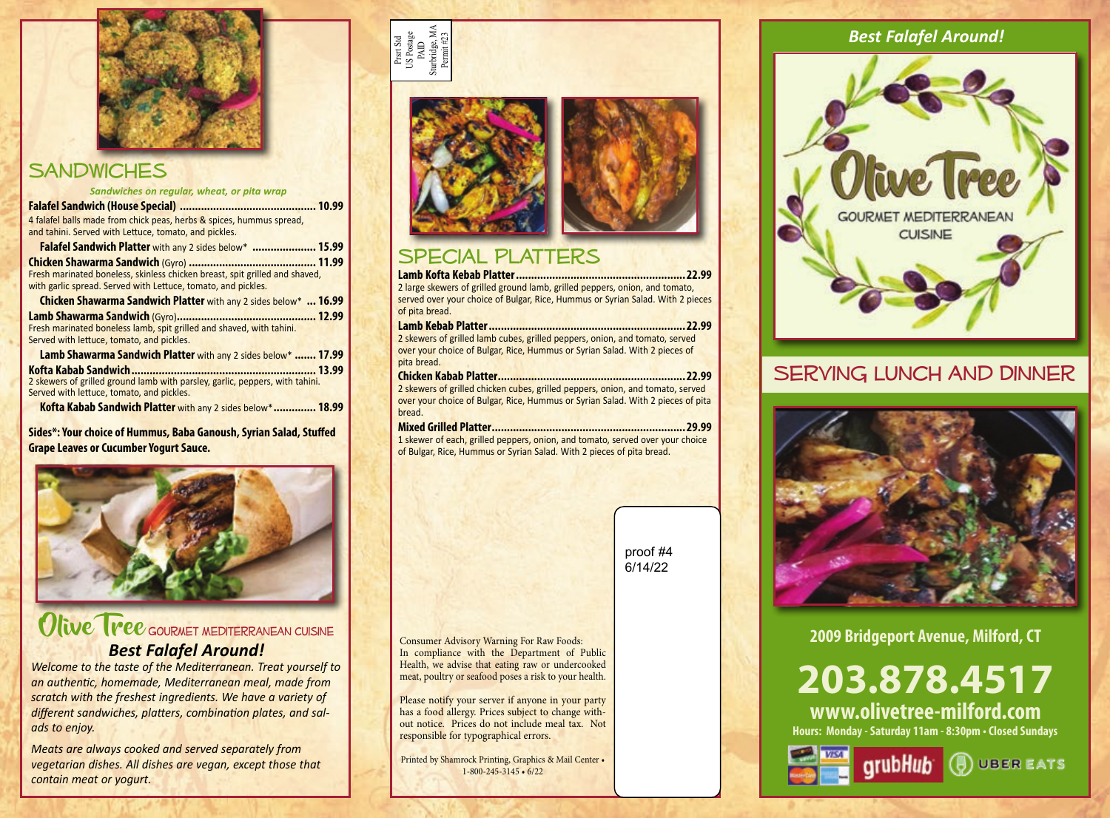

### **SANDWICHES**

| Sandwiches on regular, wheat, or pita wrap                                                                                |              |
|---------------------------------------------------------------------------------------------------------------------------|--------------|
|                                                                                                                           | <b>10.99</b> |
| 4 falafel balls made from chick peas, herbs & spices, hummus spread,                                                      |              |
| and tahini. Served with Lettuce, tomato, and pickles.                                                                     |              |
| <b>Falafel Sandwich Platter</b> with any 2 sides below*  15.99                                                            |              |
|                                                                                                                           |              |
| Fresh marinated boneless, skinless chicken breast, spit grilled and shaved,                                               |              |
| with garlic spread. Served with Lettuce, tomato, and pickles.                                                             |              |
| <b>Chicken Shawarma Sandwich Platter</b> with any 2 sides below*  16.99                                                   |              |
| Lamb Shawarma Sandwich (Gyro)                                                                                             |              |
| Fresh marinated boneless lamb, spit grilled and shaved, with tahini.                                                      |              |
| Served with lettuce, tomato, and pickles.                                                                                 |              |
| Lamb Shawarma Sandwich Platter with any 2 sides below*  17.99                                                             |              |
|                                                                                                                           |              |
| 2 skewers of grilled ground lamb with parsley, garlic, peppers, with tahini.<br>Served with lettuce, tomato, and pickles. |              |
| Kofta Kabab Sandwich Platter with any 2 sides below* 18.99                                                                |              |
|                                                                                                                           |              |

**Sides\*: Your choice of Hummus, Baba Ganoush, Syrian Salad, Stuffed Grape Leaves or Cucumber Yogurt Sauce.**



Olive Tree GOURNET MEDITERRANEAN CUISINE *Best Falafel Around!*

*Welcome to the taste of the Mediterranean. Treat yourself to an authentic, homemade, Mediterranean meal, made from scratch with the freshest ingredients. We have a variety of different sandwiches, platters, combination plates, and salads to enjoy.*

*Meats are always cooked and served separately from vegetarian dishes. All dishes are vegan, except those that contain meat or yogurt.*







# Special Platters

**Lamb Kofta Kebab Platter........................................................22.99** 2 large skewers of grilled ground lamb, grilled peppers, onion, and tomato, served over your choice of Bulgar, Rice, Hummus or Syrian Salad. With 2 pieces of pita bread.

### **Lamb Kebab Platter.................................................................22.99**

2 skewers of grilled lamb cubes, grilled peppers, onion, and tomato, served over your choice of Bulgar, Rice, Hummus or Syrian Salad. With 2 pieces of pita bread.

### **Chicken Kabab Platter..............................................................22.99**

2 skewers of grilled chicken cubes, grilled peppers, onion, and tomato, served over your choice of Bulgar, Rice, Hummus or Syrian Salad. With 2 pieces of pita bread.

#### **Mixed Grilled Platter................................................................29.99**

1 skewer of each, grilled peppers, onion, and tomato, served over your choice of Bulgar, Rice, Hummus or Syrian Salad. With 2 pieces of pita bread.



Consumer Advisory Warning For Raw Foods: In compliance with the Department of Public Health, we advise that eating raw or undercooked meat, poultry or seafood poses a risk to your health.

Please notify your server if anyone in your party has a food allergy. Prices subject to change without notice. Prices do not include meal tax. Not responsible for typographical errors.

Printed by Shamrock Printing, Graphics & Mail Center • 1-800-245-3145 • 6/22

# *Best Falafel Around!*



### SERVING LUNCH AND DINNER



**2009 Bridgeport Avenue, Milford, CT** 

# **203.878.4517**

**Hours: Monday - Saturday 11am - 8:30pm • Closed Sundays www.olivetree-milford.com**



**GrubHub** ( UBER EATS